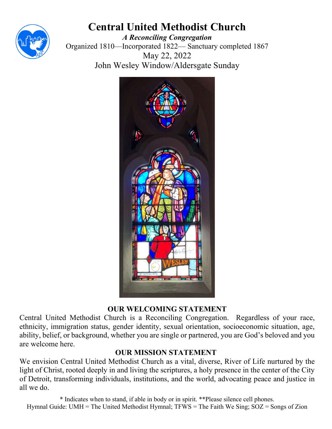

# **Central United Methodist Church**

*A Reconciling Congregation* Organized 1810—Incorporated 1822— Sanctuary completed 1867 May 22, 2022 John Wesley Window/Aldersgate Sunday



### **OUR WELCOMING STATEMENT**

Central United Methodist Church is a Reconciling Congregation. Regardless of your race, ethnicity, immigration status, gender identity, sexual orientation, socioeconomic situation, age, ability, belief, or background, whether you are single or partnered, you are God's beloved and you are welcome here.

### **OUR MISSION STATEMENT**

We envision Central United Methodist Church as a vital, diverse, River of Life nurtured by the light of Christ, rooted deeply in and living the scriptures, a holy presence in the center of the City of Detroit, transforming individuals, institutions, and the world, advocating peace and justice in all we do.

\* Indicates when to stand, if able in body or in spirit. \*\*Please silence cell phones. Hymnal Guide: UMH = The United Methodist Hymnal; TFWS = The Faith We Sing; SOZ = Songs of Zion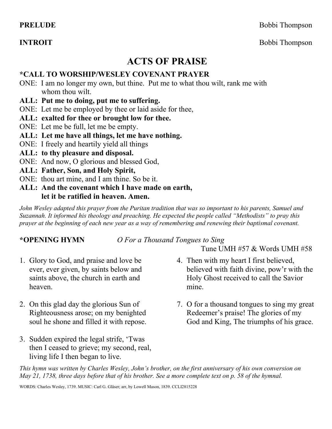**PRELUDE** Bobbi Thompson

**INTROIT** Bobbi Thompson

## **ACTS OF PRAISE**

#### **\*CALL TO WORSHIP/WESLEY COVENANT PRAYER**

- ONE: I am no longer my own, but thine. Put me to what thou wilt, rank me with whom thou wilt.
- **ALL: Put me to doing, put me to suffering.**
- ONE: Let me be employed by thee or laid aside for thee,
- **ALL: exalted for thee or brought low for thee.**
- ONE: Let me be full, let me be empty.
- **ALL: Let me have all things, let me have nothing.**
- ONE: I freely and heartily yield all things
- **ALL: to thy pleasure and disposal.**
- ONE: And now, O glorious and blessed God,
- **ALL: Father, Son, and Holy Spirit,**
- ONE: thou art mine, and I am thine. So be it.
- **ALL: And the covenant which I have made on earth, let it be ratified in heaven. Amen.**

*John Wesley adapted this prayer from the Puritan tradition that was so important to his parents, Samuel and Suzannah. It informed his theology and preaching. He expected the people called "Methodists" to pray this prayer at the beginning of each new year as a way of remembering and renewing their baptismal covenant.*

#### **\*OPENING HYMN** *O For a Thousand Tongues to Sing*

Tune UMH #57 & Words UMH #58

- 1. Glory to God, and praise and love be ever, ever given, by saints below and saints above, the church in earth and heaven.
- 2. On this glad day the glorious Sun of Righteousness arose; on my benighted soul he shone and filled it with repose.
- 3. Sudden expired the legal strife, 'Twas then I ceased to grieve; my second, real, living life I then began to live.
- 4. Then with my heart I first believed, believed with faith divine, pow'r with the Holy Ghost received to call the Savior mine.
- 7. O for a thousand tongues to sing my great Redeemer's praise! The glories of my God and King, The triumphs of his grace.

*This hymn was written by Charles Wesley, John's brother, on the first anniversary of his own conversion on May 21, 1738, three days before that of his brother. See a more complete text on p. 58 of the hymnal.*

WORDS: Charles Wesley, 1739. MUSIC: Carl G. Gläser; arr, by Lowell Mason, 1839. CCLI2815228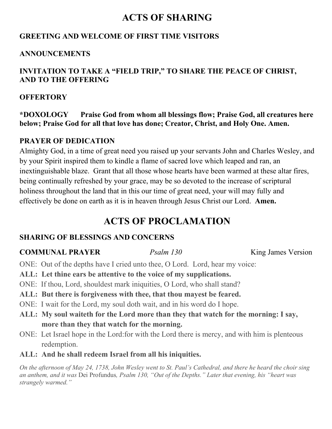## **ACTS OF SHARING**

#### **GREETING AND WELCOME OF FIRST TIME VISITORS**

#### **ANNOUNCEMENTS**

### **INVITATION TO TAKE A "FIELD TRIP," TO SHARE THE PEACE OF CHRIST, AND TO THE OFFERING**

#### **OFFERTORY**

**\*DOXOLOGY Praise God from whom all blessings flow; Praise God, all creatures here below; Praise God for all that love has done; Creator, Christ, and Holy One. Amen.** 

### **PRAYER OF DEDICATION**

Almighty God, in a time of great need you raised up your servants John and Charles Wesley, and by your Spirit inspired them to kindle a flame of sacred love which leaped and ran, an inextinguishable blaze. Grant that all those whose hearts have been warmed at these altar fires, being continually refreshed by your grace, may be so devoted to the increase of scriptural holiness throughout the land that in this our time of great need, your will may fully and effectively be done on earth as it is in heaven through Jesus Christ our Lord. **Amen.**

## **ACTS OF PROCLAMATION**

#### **SHARING OF BLESSINGS AND CONCERNS**

### **COMMUNAL PRAYER** *Psalm 130* King James Version

ONE: Out of the depths have I cried unto thee, O Lord. Lord, hear my voice:

- **ALL: Let thine ears be attentive to the voice of my supplications.**
- ONE: If thou, Lord, shouldest mark iniquities, O Lord, who shall stand?
- **ALL: But there is forgiveness with thee, that thou mayest be feared.**
- ONE: I wait for the Lord, my soul doth wait, and in his word do I hope.
- **ALL: My soul waiteth for the Lord more than they that watch for the morning: I say, more than they that watch for the morning.**
- ONE: Let Israel hope in the Lord:for with the Lord there is mercy, and with him is plenteous redemption.
- **ALL: And he shall redeem Israel from all his iniquities.**

*On the afternoon of May 24, 1738, John Wesley went to St. Paul's Cathedral, and there he heard the choir sing an anthem, and it was* Dei Profundus*, Psalm 130, "Out of the Depths." Later that evening, his "heart was strangely warmed."*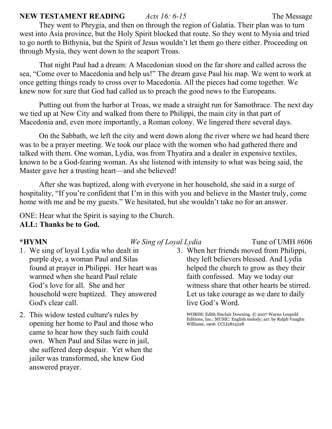#### **NEW TESTAMENT READING** *Acts 16: 6-15* The Message

They went to Phrygia, and then on through the region of Galatia. Their plan was to turn west into Asia province, but the Holy Spirit blocked that route. So they went to Mysia and tried to go north to Bithynia, but the Spirit of Jesus wouldn't let them go there either. Proceeding on through Mysia, they went down to the seaport Troas.

That night Paul had a dream: A Macedonian stood on the far shore and called across the sea, "Come over to Macedonia and help us!" The dream gave Paul his map. We went to work at once getting things ready to cross over to Macedonia. All the pieces had come together. We knew now for sure that God had called us to preach the good news to the Europeans.

Putting out from the harbor at Troas, we made a straight run for Samothrace. The next day we tied up at New City and walked from there to Philippi, the main city in that part of Macedonia and, even more importantly, a Roman colony. We lingered there several days.

On the Sabbath, we left the city and went down along the river where we had heard there was to be a prayer meeting. We took our place with the women who had gathered there and talked with them. One woman, Lydia, was from Thyatira and a dealer in expensive textiles, known to be a God-fearing woman. As she listened with intensity to what was being said, the Master gave her a trusting heart—and she believed!

After she was baptized, along with everyone in her household, she said in a surge of hospitality, "If you're confident that I'm in this with you and believe in the Master truly, come home with me and be my guests." We hesitated, but she wouldn't take no for an answer.

ONE: Hear what the Spirit is saying to the Church. **ALL: Thanks be to God.**

#### **\*HYMN** *We Sing of Loyal Lydia* Tune of UMH #606

- 1. We sing of loyal Lydia who dealt in purple dye, a woman Paul and Silas found at prayer in Philippi. Her heart was warmed when she heard Paul relate God's love for all. She and her household were baptized. They answered God's clear call.
- 2. This widow tested culture's rules by opening her home to Paul and those who came to hear how they such faith could own. When Paul and Silas were in jail, she suffered deep despair. Yet when the jailer was transformed, she knew God answered prayer.
- 3. When her friends moved from Philippi, they left believers blessed. And Lydia helped the church to grow as they their faith confessed. May we today our witness share that other hearts be stirred. Let us take courage as we dare to daily live God's Word.

WORDS: Edith Sinclair Downing. © 2007 Wayne Leupold Editions, Inc.; MUSIC: English melody; arr. by Ralph Vaughn Williams, 1906. CCLI2815228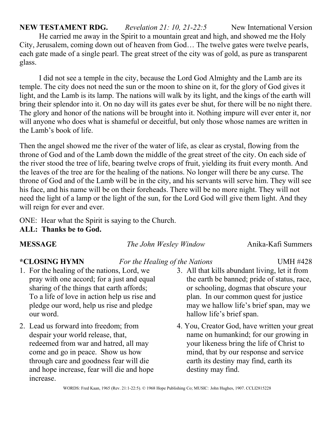**NEW TESTAMENT RDG.** *Revelation 21: 10, 21-22:5* New International Version He carried me away in the Spirit to a mountain great and high, and showed me the Holy City, Jerusalem, coming down out of heaven from God… The twelve gates were twelve pearls, each gate made of a single pearl. The great street of the city was of gold, as pure as transparent glass.

I did not see a temple in the city, because the Lord God Almighty and the Lamb are its temple. The city does not need the sun or the moon to shine on it, for the glory of God gives it light, and the Lamb is its lamp. The nations will walk by its light, and the kings of the earth will bring their splendor into it. On no day will its gates ever be shut, for there will be no night there. The glory and honor of the nations will be brought into it. Nothing impure will ever enter it, nor will anyone who does what is shameful or deceitful, but only those whose names are written in the Lamb's book of life.

Then the angel showed me the river of the water of life, as clear as crystal, flowing from the throne of God and of the Lamb down the middle of the great street of the city. On each side of the river stood the tree of life, bearing twelve crops of fruit, yielding its fruit every month. And the leaves of the tree are for the healing of the nations. No longer will there be any curse. The throne of God and of the Lamb will be in the city, and his servants will serve him. They will see his face, and his name will be on their foreheads. There will be no more night. They will not need the light of a lamp or the light of the sun, for the Lord God will give them light. And they will reign for ever and ever.

ONE: Hear what the Spirit is saying to the Church.

**ALL: Thanks be to God.**

**MESSAGE** *The John Wesley Window* Anika-Kafi Summers

- 1. For the healing of the nations, Lord, we pray with one accord; for a just and equal sharing of the things that earth affords; To a life of love in action help us rise and pledge our word, help us rise and pledge our word.
- 2. Lead us forward into freedom; from despair your world release, that, redeemed from war and hatred, all may come and go in peace. Show us how through care and goodness fear will die and hope increase, fear will die and hope increase.

### **\*CLOSING HYMN** *For the Healing of the Nations* UMH #428

- 3. All that kills abundant living, let it from the earth be banned; pride of status, race, or schooling, dogmas that obscure your plan. In our common quest for justice may we hallow life's brief span, may we hallow life's brief span.
- 4. You, Creator God, have written your great name on humankind; for our growing in your likeness bring the life of Christ to mind, that by our response and service earth its destiny may find, earth its destiny may find.